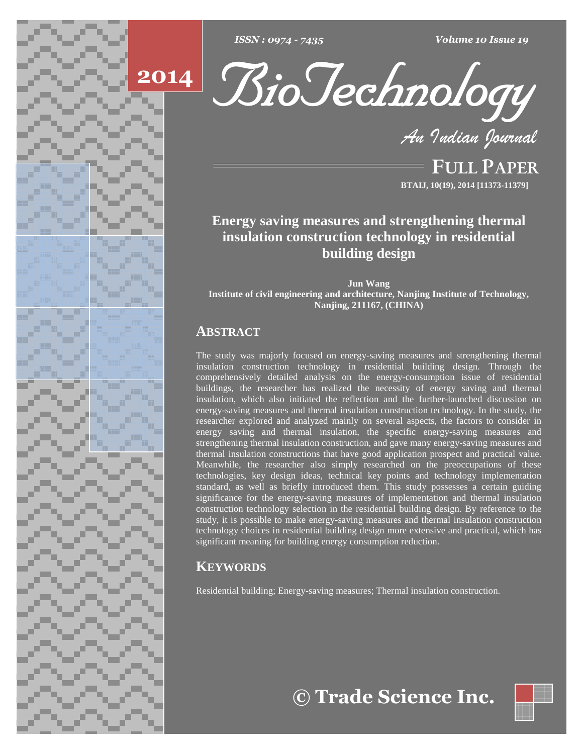





**FULL PAPER BTAIJ, 10(19), 2014 [11373-11379]**

**Energy saving measures and strengthening thermal insulation construction technology in residential building design**

**Jun Wang Institute of civil engineering and architecture, Nanjing Institute of Technology, Nanjing, 211167, (CHINA)**

# **ABSTRACT**

The study was majorly focused on energy-saving measures and strengthening thermal insulation construction technology in residential building design. Through the comprehensively detailed analysis on the energy-consumption issue of residential buildings, the researcher has realized the necessity of energy saving and thermal insulation, which also initiated the reflection and the further-launched discussion on energy-saving measures and thermal insulation construction technology. In the study, the researcher explored and analyzed mainly on several aspects, the factors to consider in energy saving and thermal insulation, the specific energy-saving measures and strengthening thermal insulation construction, and gave many energy-saving measures and thermal insulation constructions that have good application prospect and practical value. Meanwhile, the researcher also simply researched on the preoccupations of these technologies, key design ideas, technical key points and technology implementation standard, as well as briefly introduced them. This study possesses a certain guiding significance for the energy-saving measures of implementation and thermal insulation construction technology selection in the residential building design. By reference to the study, it is possible to make energy-saving measures and thermal insulation construction technology choices in residential building design more extensive and practical, which has significant meaning for building energy consumption reduction.

# **KEYWORDS**

Residential building; Energy-saving measures; Thermal insulation construction.



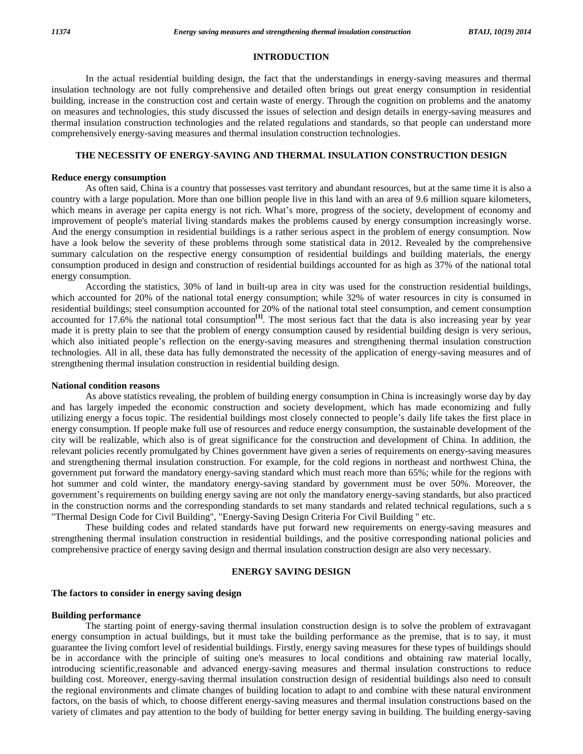# **INTRODUCTION**

In the actual residential building design, the fact that the understandings in energy-saving measures and thermal insulation technology are not fully comprehensive and detailed often brings out great energy consumption in residential building, increase in the construction cost and certain waste of energy. Through the cognition on problems and the anatomy on measures and technologies, this study discussed the issues of selection and design details in energy-saving measures and thermal insulation construction technologies and the related regulations and standards, so that people can understand more comprehensively energy-saving measures and thermal insulation construction technologies.

## **THE NECESSITY OF ENERGY-SAVING AND THERMAL INSULATION CONSTRUCTION DESIGN**

#### **Reduce energy consumption**

As often said, China is a country that possesses vast territory and abundant resources, but at the same time it is also a country with a large population. More than one billion people live in this land with an area of 9.6 million square kilometers, which means in average per capita energy is not rich. What's more, progress of the society, development of economy and improvement of people's material living standards makes the problems caused by energy consumption increasingly worse. And the energy consumption in residential buildings is a rather serious aspect in the problem of energy consumption. Now have a look below the severity of these problems through some statistical data in 2012. Revealed by the comprehensive summary calculation on the respective energy consumption of residential buildings and building materials, the energy consumption produced in design and construction ofresidential buildings accounted for as high as 37% of the national total energy consumption.

According the statistics, 30% of land in built-up area in city was used for the construction residential buildings, which accounted for 20% of the national total energy consumption; while 32% of water resources in city is consumed in residential buildings; steel consumption accounted for 20% of the national total steel consumption, and cement consumption accounted for 17.6% the national total consumption<sup>[1]</sup>. The most serious fact that the data is also increasing year by year made it is pretty plain to see that the problem of energy consumption caused by residential building design is very serious, accounted for 17.6% the national total consumption<sup>[1]</sup>. The most serious fact that the data is also increasing year by year made it is pretty plain to see that the problem of energy consumption caused by residential build technologies. All in all, these data has fully demonstrated the necessity of the application of energy-saving measures and of strengthening thermal insulation construction in residential building design.

#### **National condition reasons**

As above statistics revealing, the problem of building energy consumption in China is increasingly worse day by day and has largely impeded the economic construction and society development, which has made economizing and fully utilizing energy <sup>a</sup> focus topic. The residential buildings most closely connected to peopleí<sup>s</sup> daily life takes the first place in energy consumption. If people make full use of resources and reduce energy consumption, the sustainable development of the city will be realizable, which also is of great significance for the construction and development of China. In addition, the relevant policies recently promulgated by Chines government have given a series of requirements on energy-saving measures and strengthening thermal insulation construction. For example, for the cold regions in northeast and northwest China, the government put forward the mandatory energy-saving standard which must reach more than 65%; while for the regions with hot summer and cold winter, the mandatory energy-saving standard by government must be over 50%. Moreover, the government put forward the mandatory energy-saving standard which must reach more than 65%; while for the regions with<br>hot summer and cold winter, the mandatory energy-saving standard by government must be over 50%. Moreov in the construction norms and the corresponding standards to set many standards and related technical regulations, such a s "Thermal Design Code for Civil Building", "Energy-Saving Design Criteria For Civil Building " etc.

These building codes and related standards have put forward new requirements on energy-saving measures and strengthening thermal insulation construction in residential buildings, and the positive corresponding national policies and comprehensive practice of energy saving design and thermal insulation construction design are also very necessary.

# **ENERGY SAVING DESIGN**

#### **The factors to consider in energy saving design**

#### **Building performance**

The starting point of energy-saving thermal insulation construction design is to solve the problem of extravagant energy consumption in actual buildings, but it must take the building performance as the premise, that is to say, it must guarantee the living comfort level of residential buildings. Firstly, energy saving measures for these types of buildings should be in accordance with the principle of suiting one's measures to local conditions and obtaining raw material locally, introducing scientific,reasonable and advanced energy-saving measures and thermal insulation constructions to reduce building cost. Moreover, energy-saving thermal insulation construction design of residential buildings also need to consult the regional environments and climate changes of building location to adapt to and combine with these natural environment factors, on the basis of which, to choose different energy-saving measures and thermal insulation constructions based on the variety of climates and pay attention to the body of building for better energy saving in building. The building energy-saving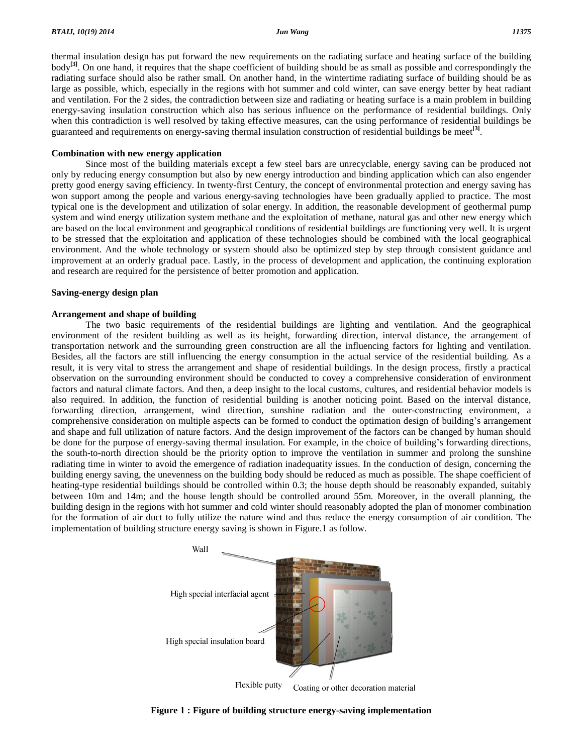thermal insulation design has put forward the new requirements on the radiating surface and heating surface of the building body **[3]**. On one hand, it requires that the shape coefficient of building should be as small as possible and correspondingly the radiating surface should also be rather small. On another hand, in the wintertime radiating surface of building should be as large as possible, which, especially in the regions with hot summer and cold winter, can save energy better by heat radiant and ventilation. For the 2 sides, the contradiction between size and radiating or heating surface is a main problem in building energy-saving insulation construction which also has serious influence on the performance of residential buildings. Only when this contradiction is well resolved by taking effective measures, can the using performance of residential buildings be guaranteed and requirements on energy-saving thermal insulation construction of residential buildings be meet **[3]**.

## **Combination with new energy application**

Since most of the building materials except a few steel bars are unrecyclable, energy saving can be produced not only by reducing energy consumption but also by new energy introduction and binding application which can also engender pretty good energy saving efficiency. In twenty-first Century, the concept of environmental protection and energy saving has won support among the people and various energy-saving technologies have been gradually applied to practice. The most typical one is the development and utilization of solar energy. In addition, the reasonable development of geothermal pump system and wind energy utilization system methane and the exploitation of methane, natural gas and other new energy which are based on the local environment and geographical conditions of residential buildings are functioning very well. It is urgent to be stressed that the exploitation and application of these technologies should be combined with the local geographical environment. And the whole technology or system should also be optimized step by step through consistent guidance and improvement at an orderly gradual pace. Lastly, in the process of development and application, the continuing exploration and research are required for the persistence of better promotion and application.

### **Saving-energy design plan**

# **Arrangement and shape of building**

The two basic requirements of the residential buildings are lighting and ventilation. And the geographical environment of the resident building as well as its height, forwarding direction, interval distance, the arrangement of transportation network and the surrounding green construction are all the influencing factors for lighting and ventilation. Besides, all the factors are still influencing the energy consumption in the actual service of the residential building. As a result, it is very vital to stress the arrangement and shape of residential buildings. In the design process, firstly a practical observation on the surrounding environment should be conducted to covey a comprehensive consideration ofenvironment factors and natural climate factors. And then, a deep insight to the local customs, cultures, and residential behavior models is also required. In addition, the function of residential building is another noticing point. Based on the interval distance, forwarding direction, arrangement, wind direction, sunshine radiation and the outer-constructing environment, a also required. In addition, the function of residential building is another noticing point. Based on the interval distance, forwarding direction, arrangement, wind direction, sunshine radiation and the outer-constructing e and shape and full utilization of nature factors. And the design improvement of the factors can be changed by human should comprehensive consideration on multiple aspects can be formed to conduct the optimation design of building's arrangement and shape and full utilization of nature factors. And the design improvement of the factors can be ch the south-to-north direction should be the priority option to improve the ventilation in summer and prolong the sunshine radiating time in winter to avoid the emergence of radiation inadequatity issues. In the conduction of design, concerning the building energy saving, the unevenness on the building body should be reduced as much as possible. The shape coefficient of heating-type residential buildings should be controlled within 0.3; the house depth should be reasonably expanded, suitably between 10m and 14m; and the house length should be controlled around 55m. Moreover, in the overall planning, the building design in the regions with hot summer and cold winter should reasonably adopted the plan of monomer combination for the formation of air duct to fully utilize the nature wind and thus reduce the energy consumption of air condition. The implementation of building structure energy saving is shown in Figure.1 as follow.



**Figure 1 : Figure of building structure energy-saving implementation**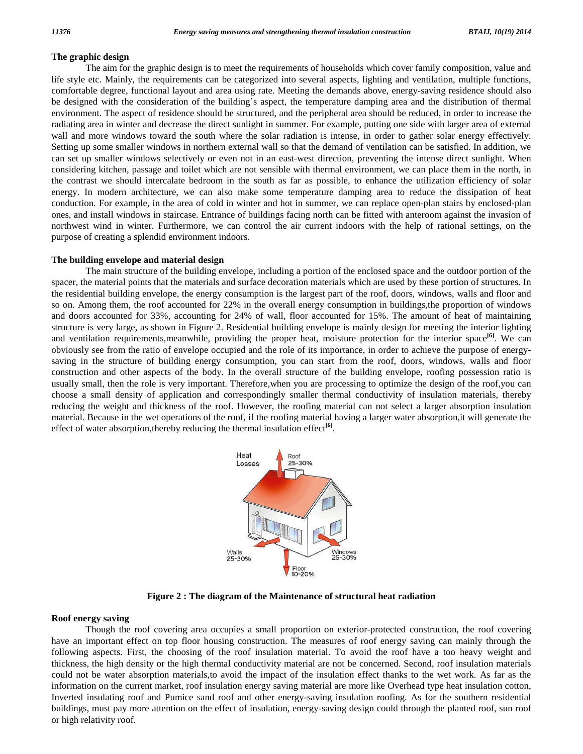# **The graphic design**

The aim for the graphic design is to meet the requirements of households which cover family composition, value and life style etc. Mainly, the requirements can be categorized into several aspects, lighting and ventilation, multiple functions,<br>comfortable degree, functional layout and area using rate. Meeting the demands above, energy-s comfortable degree, functional layout and area using rate. Meeting the demands above, energy-saving residence should also environment. The aspect of residence should be structured, and the peripheral area should be reduced, in order to increase the radiating area in winter and decrease the direct sunlight in summer. For example, putting one side with larger area of external wall and more windows toward the south where the solar radiation is intense, in order to gather solar energy effectively. Setting up some smaller windows in northern external wall so that the demand of ventilation can be satisfied. In addition, we can set up smaller windows selectively or even not in an east-west direction, preventing the intense direct sunlight. When considering kitchen, passage and toilet which are not sensible with thermal environment, we can place them in the north, in the contrast we should intercalate bedroom in the south as far as possible, to enhance the utilization efficiency of solar energy. In modern architecture, we can also make some temperature damping area to reduce the dissipation of heat conduction. For example, in the area of cold in winter and hot in summer, we can replace open-plan stairs by enclosed-plan ones, and install windows in staircase. Entrance of buildings facing north can be fitted with anteroom against the invasion of northwest wind in winter. Furthermore, we can control the air current indoors with the help of rational settings, on the purpose of creating a splendid environment indoors.

#### **The building envelope and material design**

The main structure of the building envelope, including a portion of the enclosed space and the outdoor portion of the spacer, the material points that the materials and surface decoration materials which are used by these portion of structures. In the residential building envelope, the energy consumption is the largest part of the roof, doors, windows, walls and floor and so on. Among them, the roof accounted for 22% in the overall energy consumption in buildings,the proportion of windows and doors accounted for 33%, accounting for 24% of wall, floor accounted for 15%. The amount of heat of maintaining structure is very large, as shown in Figure 2. Residential building envelope is mainly design for meeting the interior lighting and ventilation requirements,meanwhile, providing the proper heat, moisture protection for the interior space **[6]**. We can obviously see from the ratio of envelope occupied and the role of its importance, in order to achieve the purpose of energy saving in the structure of building energy consumption, you can start from the roof, doors, windows, walls and floor construction and other aspects of the body. In the overall structure of the building envelope, roofing possession ratio is usually small, then the role is very important. Therefore,when you are processing to optimize the design of the roof,you can choose a small density of application and correspondingly smaller thermal conductivity of insulation materials, thereby reducing the weight and thickness of the roof. However, the roofing material can notselect a larger absorption insulation material. Because in the wet operations of the roof, if the roofing material having a larger water absorption,it will generate the effect of water absorption,thereby reducing the thermal insulation effect **[6]**.



**Figure 2 : The diagram of the Maintenance of structural heat radiation**

# **Roof energy saving**

Though the roof covering area occupies a small proportion on exterior-protected construction, the roof covering have an important effect on top floor housing construction. The measures of roof energy saving can mainly through the following aspects. First, the choosing of the roof insulation material. To avoid the roof have a too heavy weight and thickness, the high density or the high thermal conductivity material are not be concerned. Second, roof insulation materials could not be water absorption materials,to avoid the impact of the insulation effect thanks to the wet work. As far as the information on the current market, roof insulation energy saving material are more like Overhead type heat insulation cotton, Inverted insulating roof and Pumice sand roof and other energy-saving insulation roofing. As for the southern residential buildings, must pay more attention on the effect of insulation, energy-saving design could through the planted roof, sun roof or high relativity roof.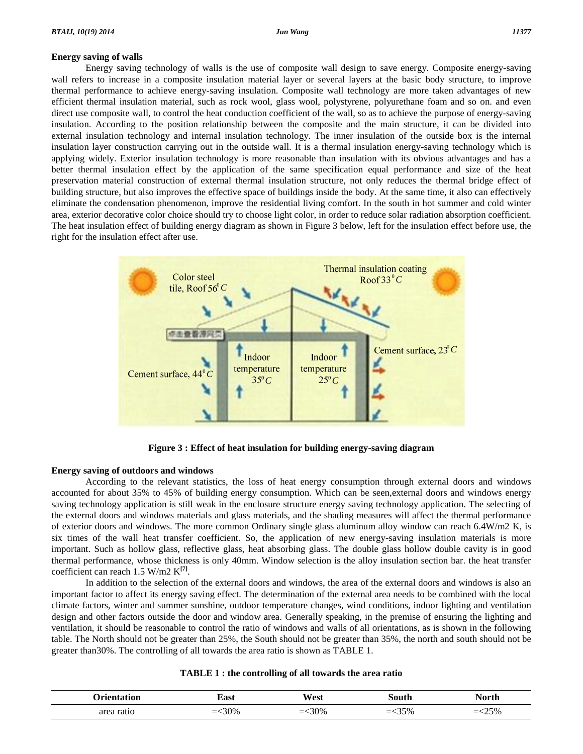# **Energy saving of walls**

Energy saving technology ofwalls is the use of composite wall design to save energy. Composite energy-saving wall refers to increase in a composite insulation material layer or several layers at the basic body structure, to improve thermal performance to achieve energy-saving insulation. Composite wall technology are more taken advantages of new efficient thermal insulation material, such as rock wool, glass wool, polystyrene, polyurethane foam and so on. and even direct use composite wall, to control the heat conduction coefficient of the wall, so as to achieve the purpose of energy-saving insulation. According to the position relationship between the composite and the main structure, it can be divided into external insulation technology and internal insulation technology. The inner insulation of the outside box is the internal insulation layer construction carrying out in the outside wall. It is a thermal insulation energy-saving technology which is applying widely. Exterior insulation technology is more reasonable than insulation with its obvious advantages and has a better thermal insulation effect by the application of the same specification equal performance and size of the heat preservation material construction of external thermal insulation structure, not only reduces the thermal bridge effect of building structure, but also improves the effective space of buildings inside the body. At the same time, it also can effectively eliminate the condensation phenomenon, improve the residential living comfort. In the south in hotsummer and cold winter area, exterior decorative color choice should try to choose light color, in order to reduce solar radiation absorption coefficient. The heat insulation effect of building energy diagram as shown in Figure 3 below, left for the insulation effect before use, the right for the insulation effect after use.



**Figure 3 : Effect of heat insulation for building energy-saving diagram**

# **Energy saving of outdoors and windows**

According to the relevant statistics, the loss of heat energy consumption through external doors and windows accounted for about 35% to 45% of building energy consumption. Which can be seen,external doors and windows energy saving technology application is still weak in the enclosure structure energy saving technology application. The selecting of the external doors and windows materials and glass materials, and the shading measures will affect the thermal performance of exterior doors and windows. The more common Ordinary single glass aluminum alloy window can reach 6.4W/m2 K, is six times of the wall heat transfer coefficient. So, the application of new energy-saving insulation materials is more important. Such as hollow glass, reflective glass, heat absorbing glass. The double glass hollow double cavity is in good thermal performance, whose thickness is only 40mm. Window selection is the alloy insulation section bar. the heat transfer coefficient can reach 1.5 W/m2 K **[7]**.

In addition to the selection of the external doors and windows, the area of the external doors and windows is also an important factor to affect its energy saving effect. The determination of the external area needs to be combined with the local climate factors, winter and summer sunshine, outdoor temperature changes, wind conditions, indoor lighting and ventilation design and other factors outside the door and window area. Generally speaking, in the premise of ensuring the lighting and ventilation, it should be reasonable to control the ratio of windows and walls of all orientations, as is shown in the following table. The North should not be greater than 25%, the South should not be greater than 35%, the north and south should not be greater than30%. The controlling of all towards the area ratio is shown as TABLE 1.

| TABLE 1 : the controlling of all towards the area ratio |  |
|---------------------------------------------------------|--|
|---------------------------------------------------------|--|

|   | Tast<br>. | $-1$<br>∧/∩α1<br>וכט<br>$ -$                 | .                           | . |
|---|-----------|----------------------------------------------|-----------------------------|---|
| . |           | 200 <sub>6</sub><br>$\overline{\phantom{a}}$ | $\sqrt{2}$<br>$\prime$<br>_ |   |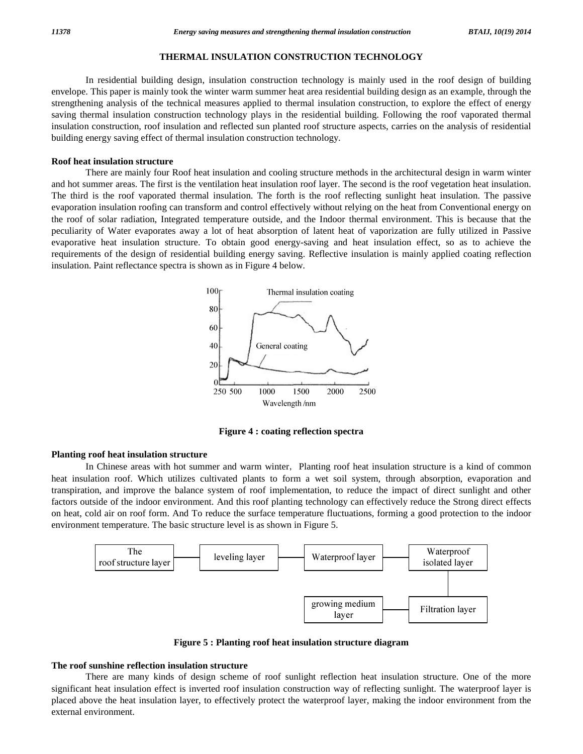# **THERMAL INSULATION CONSTRUCTION TECHNOLOGY**

In residential building design, insulation construction technology is mainly used in the roof design of building envelope. This paper is mainly took the winter warm summer heat area residential building design as an example, through the strengthening analysis of the technical measures applied to thermal insulation construction, to explore the effect of energy saving thermal insulation construction technology plays in the residential building. Following the roof vaporated thermal insulation construction, roof insulation and reflected sun planted roof structure aspects, carries on the analysis of residential building energy saving effect of thermal insulation construction technology.

### **Roof heat insulation structure**

There are mainly four Roof heat insulation and cooling structure methods in the architectural design in warm winter and hot summer areas. The first is the ventilation heat insulation roof layer. The second is the roof vegetation heat insulation. The third is the roof vaporated thermal insulation. The forth is the roof reflecting sunlight heat insulation. The passive evaporation insulation roofing can transform and control effectively without relying on the heat from Conventional energy on the roof of solar radiation, Integrated temperature outside, and the Indoor thermal environment. This is because that the peculiarity of Water evaporates away a lot of heat absorption of latent heat of vaporization are fully utilized in Passive evaporative heat insulation structure. To obtain good energy-saving and heat insulation effect, so as to achieve the requirements of the design ofresidential building energy saving. Reflective insulation is mainly applied coating reflection insulation. Paint reflectance spectra is shown as in Figure 4 below.



**Figure 4 : coating reflection spectra**

# **Planting roof heat insulation structure**

In Chinese areas with hot summer and warm winter, Planting roof heat insulation structure is a kind of common heat insulation roof. Which utilizes cultivated plants to form a wet soil system, through absorption, evaporation and transpiration, and improve the balance system of roof implementation, to reduce the impact of direct sunlight and other factors outside of the indoor environment. And this roof planting technology can effectively reduce the Strong direct effects on heat, cold air on roof form. And To reduce the surface temperature fluctuations, forming a good protection to the indoor environment temperature. The basic structure level is as shown in Figure 5.



**Figure 5 : Planting roof heat insulation structure diagram**

#### **The roof sunshine reflection insulation structure**

There are many kinds of design scheme of roof sunlight reflection heat insulation structure. One of the more significant heat insulation effect is inverted roof insulation construction way of reflecting sunlight. The waterproof layer is placed above the heat insulation layer, to effectively protect the waterproof layer, making the indoor environment from the external environment.